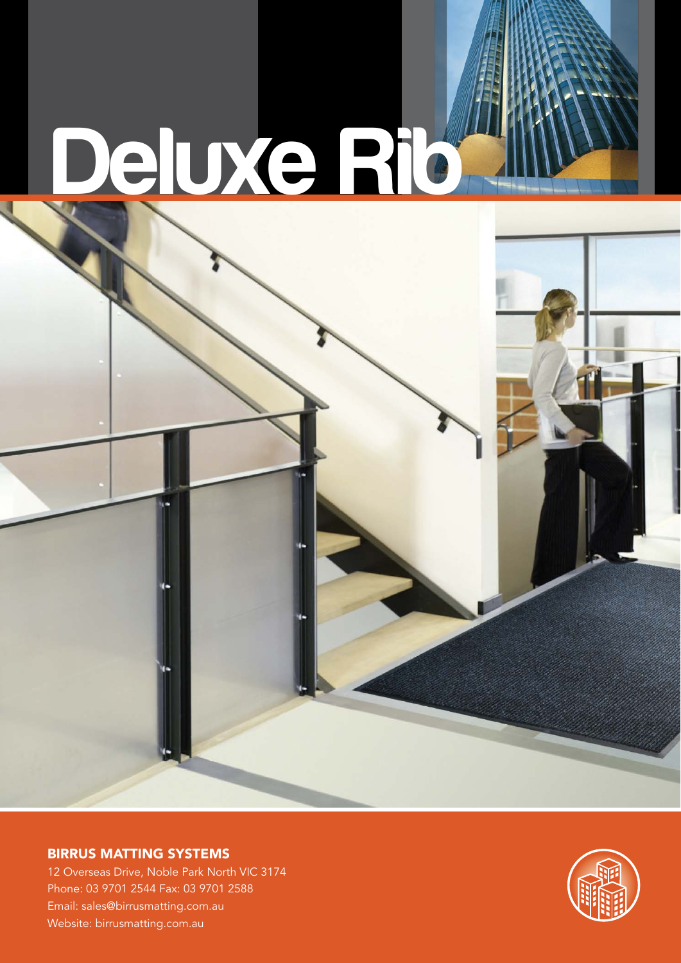## **Deluxe Rib**

BIRRUS MATTING SYSTEMS

12 Overseas Drive, Noble Park North VIC 3174 Phone: 03 9701 2544 Fax: 03 9701 2588 Email: sales@birrusmatting.com.au Website: birrusmatting.com.au